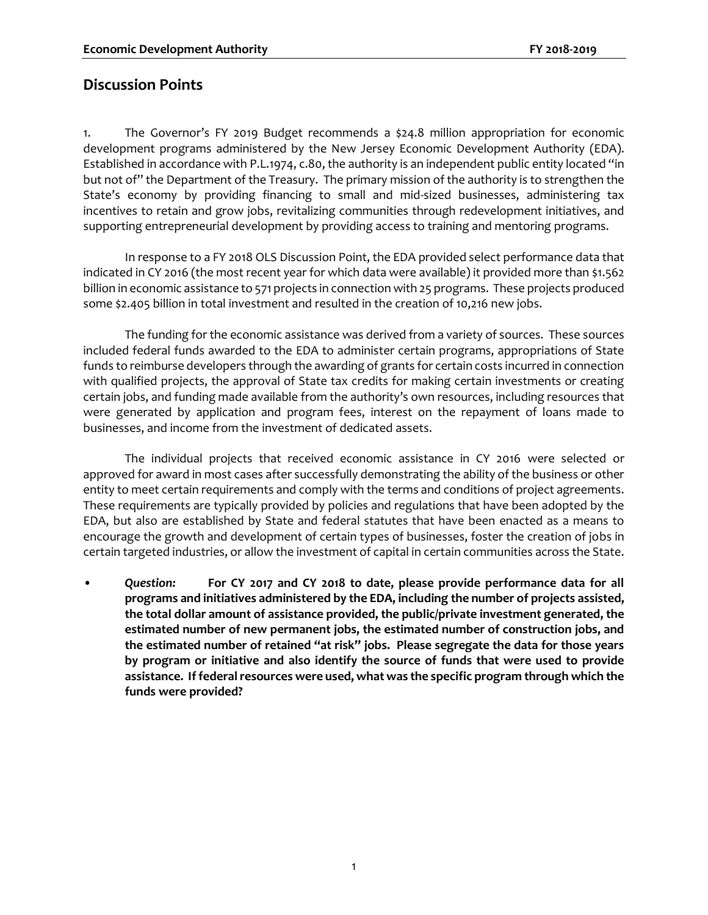#### **Discussion Points**

1. The Governor's FY 2019 Budget recommends a \$24.8 million appropriation for economic development programs administered by the New Jersey Economic Development Authority (EDA). Established in accordance with P.L.1974, c.80, the authority is an independent public entity located "in but not of" the Department of the Treasury. The primary mission of the authority is to strengthen the State's economy by providing financing to small and mid-sized businesses, administering tax incentives to retain and grow jobs, revitalizing communities through redevelopment initiatives, and supporting entrepreneurial development by providing access to training and mentoring programs.

In response to a FY 2018 OLS Discussion Point, the EDA provided select performance data that indicated in CY 2016 (the most recent year for which data were available) it provided more than \$1.562 billion in economic assistance to 571 projects in connection with 25 programs. These projects produced some \$2.405 billion in total investment and resulted in the creation of 10,216 new jobs.

The funding for the economic assistance was derived from a variety of sources. These sources included federal funds awarded to the EDA to administer certain programs, appropriations of State funds to reimburse developers through the awarding of grants for certain costs incurred in connection with qualified projects, the approval of State tax credits for making certain investments or creating certain jobs, and funding made available from the authority's own resources, including resources that were generated by application and program fees, interest on the repayment of loans made to businesses, and income from the investment of dedicated assets.

The individual projects that received economic assistance in CY 2016 were selected or approved for award in most cases after successfully demonstrating the ability of the business or other entity to meet certain requirements and comply with the terms and conditions of project agreements. These requirements are typically provided by policies and regulations that have been adopted by the EDA, but also are established by State and federal statutes that have been enacted as a means to encourage the growth and development of certain types of businesses, foster the creation of jobs in certain targeted industries, or allow the investment of capital in certain communities across the State.

• *Question:* **For CY 2017 and CY 2018 to date, please provide performance data for all programs and initiatives administered by the EDA, including the number of projects assisted, the total dollar amount of assistance provided, the public/private investment generated, the estimated number of new permanent jobs, the estimated number of construction jobs, and the estimated number of retained "at risk" jobs. Please segregate the data for those years by program or initiative and also identify the source of funds that were used to provide assistance. If federal resources were used, what was the specific program through which the funds were provided?**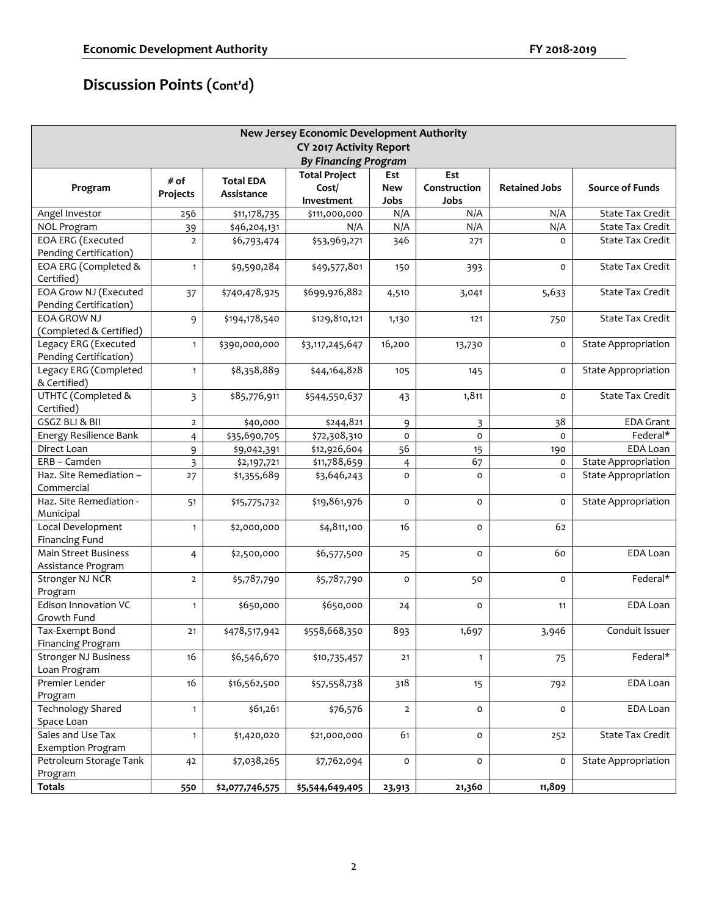| <b>New Jersey Economic Development Authority</b> |                         |                  |                         |                |                         |                      |                            |  |
|--------------------------------------------------|-------------------------|------------------|-------------------------|----------------|-------------------------|----------------------|----------------------------|--|
|                                                  |                         |                  | CY 2017 Activity Report |                |                         |                      |                            |  |
| <b>By Financing Program</b>                      |                         |                  |                         |                |                         |                      |                            |  |
|                                                  |                         |                  | <b>Total Project</b>    | Est            | Est                     |                      |                            |  |
| Program                                          | # of                    | <b>Total EDA</b> | Cost/                   | <b>New</b>     | Construction            | <b>Retained Jobs</b> | <b>Source of Funds</b>     |  |
|                                                  | Projects                | Assistance       | Investment              | Jobs           | Jobs                    |                      |                            |  |
| Angel Investor                                   | 256                     | \$11,178,735     | \$111,000,000           | N/A            | N/A                     | N/A                  | <b>State Tax Credit</b>    |  |
| <b>NOL Program</b>                               | 39                      | \$46,204,131     | N/A                     | N/A            | N/A                     | N/A                  | State Tax Credit           |  |
| <b>EOA ERG (Executed</b>                         | $\overline{2}$          | \$6,793,474      | \$53,969,271            | 346            | 271                     | $\Omega$             | State Tax Credit           |  |
| Pending Certification)                           |                         |                  |                         |                |                         |                      |                            |  |
| EOA ERG (Completed &                             | $\mathbf{1}$            | \$9,590,284      | \$49,577,801            | 150            | 393                     | 0                    | State Tax Credit           |  |
| Certified)                                       |                         |                  |                         |                |                         |                      |                            |  |
| EOA Grow NJ (Executed                            | 37                      | \$740,478,925    | \$699,926,882           | 4,510          | 3,041                   | 5,633                | <b>State Tax Credit</b>    |  |
| Pending Certification)                           |                         |                  |                         |                |                         |                      |                            |  |
| <b>EOA GROW NJ</b>                               | 9                       | \$194,178,540    | \$129,810,121           | 1,130          | 121                     | 750                  | <b>State Tax Credit</b>    |  |
| (Completed & Certified)                          |                         |                  |                         |                |                         |                      |                            |  |
| Legacy ERG (Executed                             | $\mathbf{1}$            | \$390,000,000    | \$3,117,245,647         | 16,200         | 13,730                  | o                    | <b>State Appropriation</b> |  |
| Pending Certification)                           |                         |                  |                         |                |                         |                      |                            |  |
| Legacy ERG (Completed                            | $\mathbf{1}$            | \$8,358,889      | \$44,164,828            | 105            | 145                     | o                    | <b>State Appropriation</b> |  |
| & Certified)                                     |                         |                  |                         |                |                         |                      |                            |  |
| UTHTC (Completed &                               | $\overline{\mathbf{3}}$ | \$85,776,911     | \$544,550,637           | 43             | 1,811                   | o                    | State Tax Credit           |  |
| Certified)                                       |                         |                  |                         |                |                         |                      |                            |  |
| GSGZ BLI & BII                                   | $\overline{2}$          | \$40,000         | \$244,821               | 9              | $\overline{\mathbf{3}}$ | 38                   | <b>EDA Grant</b>           |  |
| Energy Resilience Bank                           | 4                       | \$35,690,705     | \$72,308,310            | $\mathsf{o}$   | $\mathsf{o}$            | o                    | Federal*                   |  |
| Direct Loan                                      | 9                       | \$9,042,391      | \$12,926,604            | 56             | 15                      | 190                  | EDA Loan                   |  |
| ERB - Camden                                     | 3                       | \$2,197,721      | \$11,788,659            | $\overline{4}$ | 67                      | o                    | <b>State Appropriation</b> |  |
| Haz. Site Remediation -                          | 27                      | \$1,355,689      | \$3,646,243             | $\mathsf{o}$   | $\mathsf{o}\xspace$     | o                    | <b>State Appropriation</b> |  |
| Commercial                                       |                         |                  |                         |                |                         |                      |                            |  |
| Haz. Site Remediation -                          | 51                      | \$15,775,732     | \$19,861,976            | o              | 0                       | o                    | <b>State Appropriation</b> |  |
| Municipal                                        |                         |                  |                         |                |                         |                      |                            |  |
| Local Development                                | $\mathbf{1}$            | \$2,000,000      | \$4,811,100             | 16             | $\mathsf{o}\,$          | 62                   |                            |  |
| <b>Financing Fund</b>                            |                         |                  |                         |                |                         |                      |                            |  |
| <b>Main Street Business</b>                      | $\overline{4}$          | \$2,500,000      | \$6,577,500             | 25             | $\mathsf{o}$            | 60                   | EDA Loan                   |  |
| Assistance Program                               |                         |                  |                         |                |                         |                      |                            |  |
| Stronger NJ NCR                                  | $\overline{2}$          | \$5,787,790      | \$5,787,790             | $\mathsf{o}$   | 50                      | o                    | Federal*                   |  |
| Program                                          |                         |                  |                         |                |                         |                      |                            |  |
| Edison Innovation VC                             | $\mathbf{1}$            | \$650,000        | \$650,000               | 24             | $\mathsf{o}$            | 11                   | EDA Loan                   |  |
| Growth Fund                                      |                         |                  |                         |                |                         |                      |                            |  |
| Tax-Exempt Bond                                  | 21                      | \$478,517,942    | \$558,668,350           | 893            | 1,697                   | 3,946                | Conduit Issuer             |  |
| Financing Program                                |                         |                  |                         |                |                         |                      |                            |  |
| <b>Stronger NJ Business</b>                      | 16                      | \$6,546,670      | \$10,735,457            | $21$           | $\mathbf{1}$            | 75                   | Federal*                   |  |
| Loan Program                                     |                         |                  |                         |                |                         |                      |                            |  |
| Premier Lender                                   | 16                      | \$16,562,500     | \$57,558,738            | 318            | 15                      | 792                  | EDA Loan                   |  |
| Program                                          |                         |                  |                         |                |                         |                      |                            |  |
| <b>Technology Shared</b>                         | $\mathbf{1}$            | \$61,261         | \$76,576                | $\overline{2}$ | 0                       | o                    | EDA Loan                   |  |
| Space Loan                                       |                         |                  |                         |                |                         |                      |                            |  |
| Sales and Use Tax                                | $\mathbf{1}$            | \$1,420,020      | \$21,000,000            | 61             | 0                       | 252                  | State Tax Credit           |  |
| <b>Exemption Program</b>                         |                         |                  |                         |                |                         |                      |                            |  |
| Petroleum Storage Tank                           | 42                      | \$7,038,265      | \$7,762,094             | 0              | 0                       | o                    | State Appropriation        |  |
| Program                                          |                         |                  |                         |                |                         |                      |                            |  |
| <b>Totals</b>                                    | 550                     | \$2,077,746,575  | \$5,544,649,405         | 23,913         | 21,360                  | 11,809               |                            |  |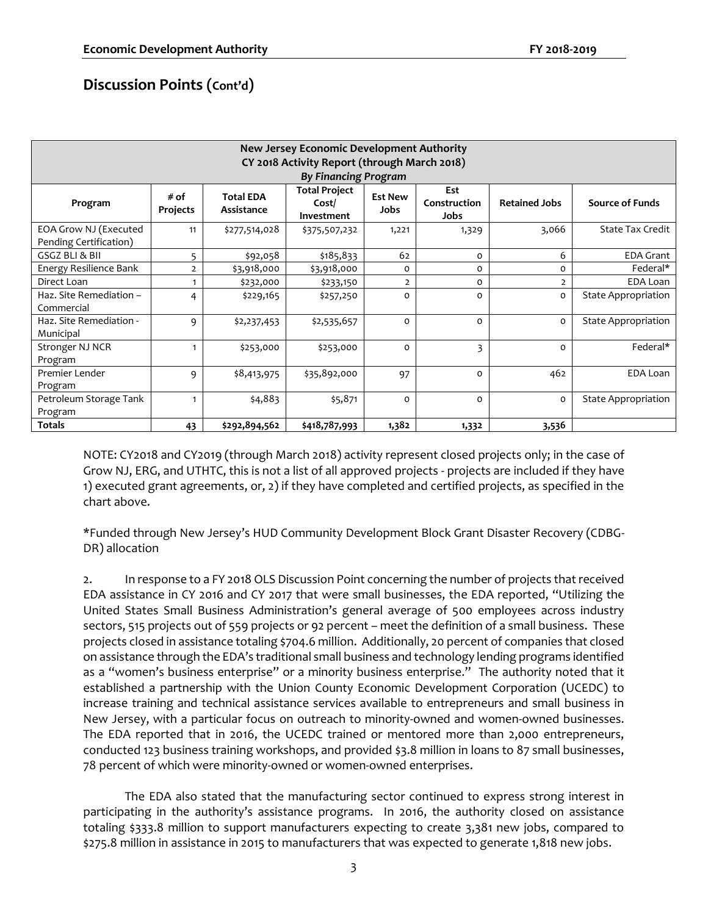| <b>New Jersey Economic Development Authority</b><br>CY 2018 Activity Report (through March 2018)<br>By Financing Program |                  |                                |                                             |                        |                             |                      |                            |  |
|--------------------------------------------------------------------------------------------------------------------------|------------------|--------------------------------|---------------------------------------------|------------------------|-----------------------------|----------------------|----------------------------|--|
| Program                                                                                                                  | # of<br>Projects | <b>Total EDA</b><br>Assistance | <b>Total Project</b><br>Cost/<br>Investment | <b>Est New</b><br>Jobs | Est<br>Construction<br>Jobs | <b>Retained Jobs</b> | <b>Source of Funds</b>     |  |
| EOA Grow NJ (Executed<br>Pending Certification)                                                                          | 11               | \$277,514,028                  | \$375,507,232                               | 1,221                  | 1,329                       | 3,066                | State Tax Credit           |  |
| GSGZ BLI & BII                                                                                                           | 5                | \$92,058                       | \$185,833                                   | 62                     | 0                           | 6                    | <b>EDA Grant</b>           |  |
| Energy Resilience Bank                                                                                                   | $\overline{2}$   | \$3,918,000                    | \$3,918,000                                 | 0                      | 0                           | 0                    | Federal*                   |  |
| Direct Loan                                                                                                              |                  | \$232,000                      | \$233,150                                   | $\overline{2}$         | 0                           | $\overline{2}$       | EDA Loan                   |  |
| Haz. Site Remediation -<br>Commercial                                                                                    | 4                | \$229,165                      | \$257,250                                   | 0                      | 0                           | $\Omega$             | <b>State Appropriation</b> |  |
| Haz. Site Remediation -<br>Municipal                                                                                     | 9                | \$2,237,453                    | \$2,535,657                                 | $\Omega$               | $\Omega$                    | 0                    | State Appropriation        |  |
| Stronger NJ NCR<br>Program                                                                                               |                  | \$253,000                      | \$253,000                                   | $\Omega$               | 3                           | $\Omega$             | Federal*                   |  |
| Premier Lender<br>Program                                                                                                | 9                | \$8,413,975                    | \$35,892,000                                | 97                     | $\circ$                     | 462                  | EDA Loan                   |  |
| Petroleum Storage Tank<br>Program                                                                                        |                  | \$4,883                        | \$5,871                                     | $\Omega$               | $\Omega$                    | $\Omega$             | State Appropriation        |  |
| <b>Totals</b>                                                                                                            | 43               | \$292,894,562                  | \$418,787,993                               | 1,382                  | 1,332                       | 3,536                |                            |  |

NOTE: CY2018 and CY2019 (through March 2018) activity represent closed projects only; in the case of Grow NJ, ERG, and UTHTC, this is not a list of all approved projects - projects are included if they have 1) executed grant agreements, or, 2) if they have completed and certified projects, as specified in the chart above.

\*Funded through New Jersey's HUD Community Development Block Grant Disaster Recovery (CDBG-DR) allocation

2. In response to a FY 2018 OLS Discussion Point concerning the number of projects that received EDA assistance in CY 2016 and CY 2017 that were small businesses, the EDA reported, "Utilizing the United States Small Business Administration's general average of 500 employees across industry sectors, 515 projects out of 559 projects or 92 percent – meet the definition of a small business. These projects closed in assistance totaling \$704.6 million. Additionally, 20 percent of companies that closed on assistance through the EDA's traditional small business and technology lending programs identified as a "women's business enterprise" or a minority business enterprise." The authority noted that it established a partnership with the Union County Economic Development Corporation (UCEDC) to increase training and technical assistance services available to entrepreneurs and small business in New Jersey, with a particular focus on outreach to minority-owned and women-owned businesses. The EDA reported that in 2016, the UCEDC trained or mentored more than 2,000 entrepreneurs, conducted 123 business training workshops, and provided \$3.8 million in loans to 87 small businesses, 78 percent of which were minority-owned or women-owned enterprises.

The EDA also stated that the manufacturing sector continued to express strong interest in participating in the authority's assistance programs. In 2016, the authority closed on assistance totaling \$333.8 million to support manufacturers expecting to create 3,381 new jobs, compared to \$275.8 million in assistance in 2015 to manufacturers that was expected to generate 1,818 new jobs.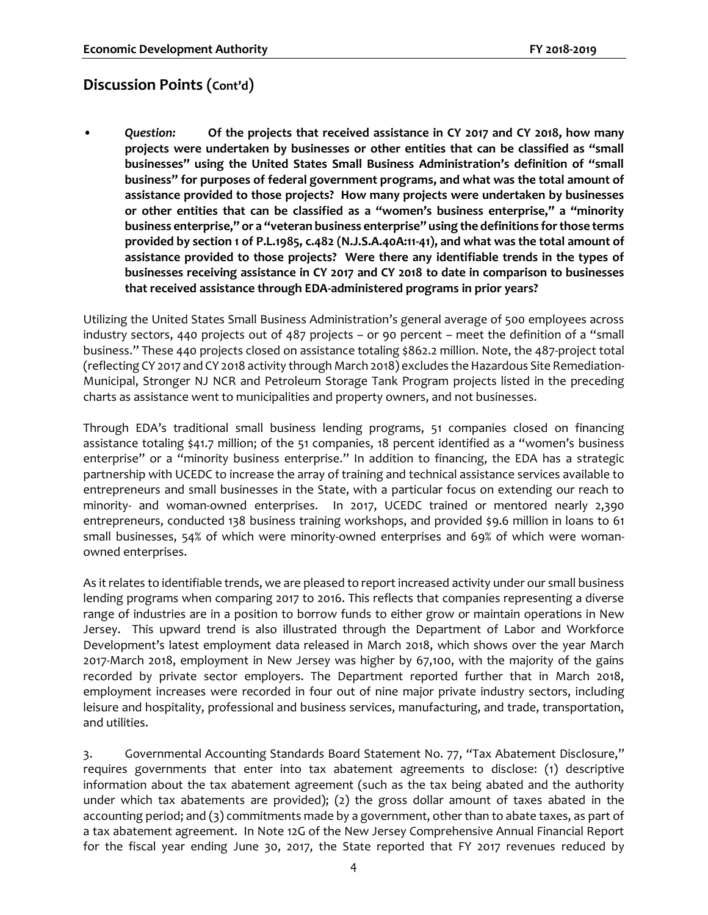• *Question:* **Of the projects that received assistance in CY 2017 and CY 2018, how many projects were undertaken by businesses or other entities that can be classified as "small businesses" using the United States Small Business Administration's definition of "small business" for purposes of federal government programs, and what was the total amount of assistance provided to those projects? How many projects were undertaken by businesses or other entities that can be classified as a "women's business enterprise," a "minority business enterprise," or a "veteran business enterprise" using the definitions for those terms provided by section 1 of P.L.1985, c.482 (N.J.S.A.40A:11-41), and what was the total amount of assistance provided to those projects? Were there any identifiable trends in the types of businesses receiving assistance in CY 2017 and CY 2018 to date in comparison to businesses that received assistance through EDA-administered programs in prior years?**

Utilizing the United States Small Business Administration's general average of 500 employees across industry sectors, 440 projects out of 487 projects – or 90 percent – meet the definition of a "small business." These 440 projects closed on assistance totaling \$862.2 million. Note, the 487-project total (reflecting CY 2017 and CY 2018 activity through March 2018) excludes the Hazardous Site Remediation-Municipal, Stronger NJ NCR and Petroleum Storage Tank Program projects listed in the preceding charts as assistance went to municipalities and property owners, and not businesses.

Through EDA's traditional small business lending programs, 51 companies closed on financing assistance totaling \$41.7 million; of the 51 companies, 18 percent identified as a "women's business enterprise" or a "minority business enterprise." In addition to financing, the EDA has a strategic partnership with UCEDC to increase the array of training and technical assistance services available to entrepreneurs and small businesses in the State, with a particular focus on extending our reach to minority- and woman-owned enterprises. In 2017, UCEDC trained or mentored nearly 2,390 entrepreneurs, conducted 138 business training workshops, and provided \$9.6 million in loans to 61 small businesses, 54% of which were minority-owned enterprises and 69% of which were womanowned enterprises.

As it relates to identifiable trends, we are pleased to report increased activity under our small business lending programs when comparing 2017 to 2016. This reflects that companies representing a diverse range of industries are in a position to borrow funds to either grow or maintain operations in New Jersey. This upward trend is also illustrated through the Department of Labor and Workforce Development's latest employment data released in March 2018, which shows over the year March 2017-March 2018, employment in New Jersey was higher by 67,100, with the majority of the gains recorded by private sector employers. The Department reported further that in March 2018, employment increases were recorded in four out of nine major private industry sectors, including leisure and hospitality, professional and business services, manufacturing, and trade, transportation, and utilities.

3. Governmental Accounting Standards Board Statement No. 77, "Tax Abatement Disclosure," requires governments that enter into tax abatement agreements to disclose: (1) descriptive information about the tax abatement agreement (such as the tax being abated and the authority under which tax abatements are provided); (2) the gross dollar amount of taxes abated in the accounting period; and (3) commitments made by a government, other than to abate taxes, as part of a tax abatement agreement. In Note 12G of the New Jersey Comprehensive Annual Financial Report for the fiscal year ending June 30, 2017, the State reported that FY 2017 revenues reduced by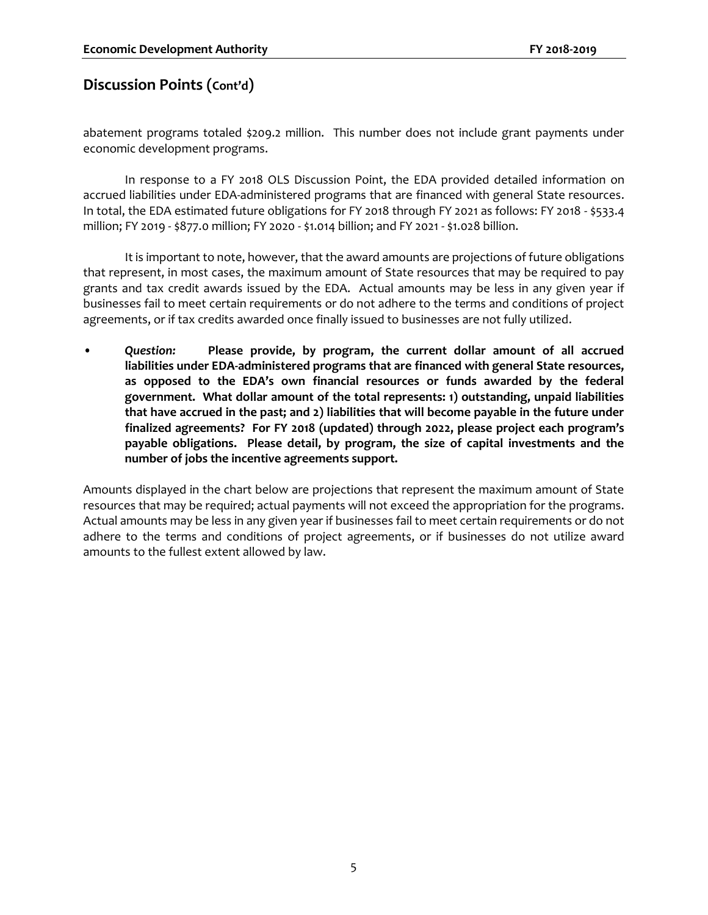abatement programs totaled \$209.2 million. This number does not include grant payments under economic development programs.

In response to a FY 2018 OLS Discussion Point, the EDA provided detailed information on accrued liabilities under EDA-administered programs that are financed with general State resources. In total, the EDA estimated future obligations for FY 2018 through FY 2021 as follows: FY 2018 - \$533.4 million; FY 2019 - \$877.0 million; FY 2020 - \$1.014 billion; and FY 2021 - \$1.028 billion.

It is important to note, however, that the award amounts are projections of future obligations that represent, in most cases, the maximum amount of State resources that may be required to pay grants and tax credit awards issued by the EDA. Actual amounts may be less in any given year if businesses fail to meet certain requirements or do not adhere to the terms and conditions of project agreements, or if tax credits awarded once finally issued to businesses are not fully utilized.

• *Question:* **Please provide, by program, the current dollar amount of all accrued liabilities under EDA-administered programs that are financed with general State resources, as opposed to the EDA's own financial resources or funds awarded by the federal government. What dollar amount of the total represents: 1) outstanding, unpaid liabilities that have accrued in the past; and 2) liabilities that will become payable in the future under finalized agreements? For FY 2018 (updated) through 2022, please project each program's payable obligations. Please detail, by program, the size of capital investments and the number of jobs the incentive agreements support.**

Amounts displayed in the chart below are projections that represent the maximum amount of State resources that may be required; actual payments will not exceed the appropriation for the programs. Actual amounts may be less in any given year if businesses fail to meet certain requirements or do not adhere to the terms and conditions of project agreements, or if businesses do not utilize award amounts to the fullest extent allowed by law.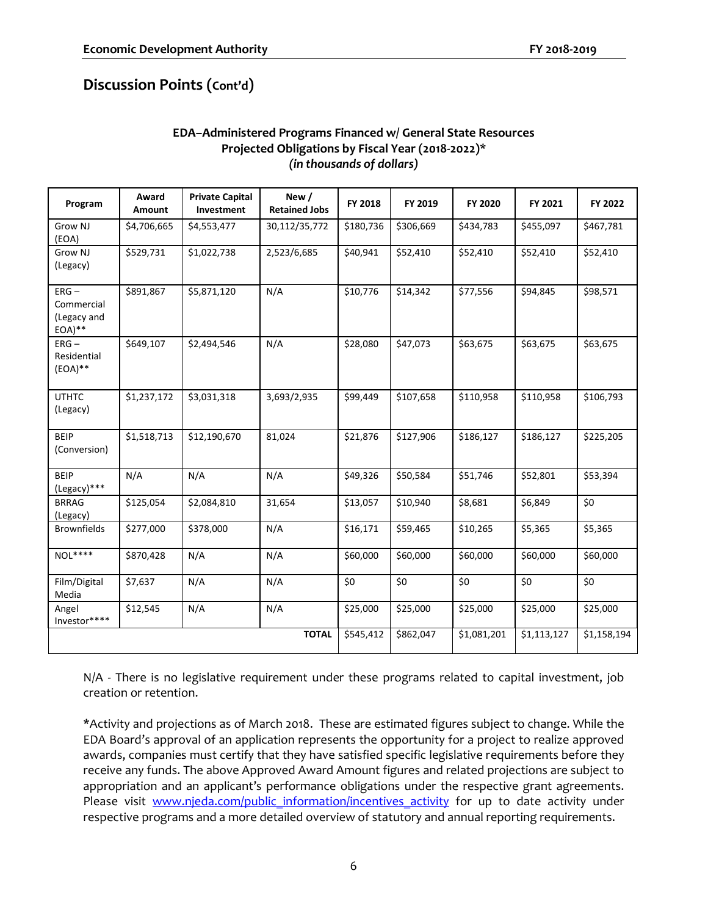#### **EDA–Administered Programs Financed w/ General State Resources Projected Obligations by Fiscal Year (2018-2022)\*** *(in thousands of dollars)*

| Program                                           | Award<br><b>Amount</b> | <b>Private Capital</b><br>Investment | New /<br><b>Retained Jobs</b> | FY 2018   | FY 2019   | FY 2020     | FY 2021     | FY 2022     |
|---------------------------------------------------|------------------------|--------------------------------------|-------------------------------|-----------|-----------|-------------|-------------|-------------|
| Grow NJ<br>(EOA)                                  | \$4,706,665            | \$4,553,477                          | 30,112/35,772                 | \$180,736 | \$306,669 | \$434,783   | \$455,097   | \$467,781   |
| Grow NJ<br>(Legacy)                               | \$529,731              | \$1,022,738                          | 2,523/6,685                   | \$40,941  | \$52,410  | \$52,410    | \$52,410    | \$52,410    |
| $ERG -$<br>Commercial<br>(Legacy and<br>$EOA)$ ** | \$891,867              | \$5,871,120                          | N/A                           | \$10,776  | \$14,342  | \$77,556    | \$94,845    | \$98,571    |
| $ERG -$<br>Residential<br>$(EOA)**$               | \$649,107              | \$2,494,546                          | N/A                           | \$28,080  | \$47,073  | \$63,675    | \$63,675    | \$63,675    |
| <b>UTHTC</b><br>(Legacy)                          | \$1,237,172            | \$3,031,318                          | 3,693/2,935                   | \$99,449  | \$107,658 | \$110,958   | \$110,958   | \$106,793   |
| <b>BEIP</b><br>(Conversion)                       | \$1,518,713            | \$12,190,670                         | 81,024                        | \$21,876  | \$127,906 | \$186,127   | \$186,127   | \$225,205   |
| <b>BEIP</b><br>(Legacy)***                        | N/A                    | N/A                                  | N/A                           | \$49,326  | \$50,584  | \$51,746    | \$52,801    | \$53,394    |
| <b>BRRAG</b><br>(Legacy)                          | \$125,054              | \$2,084,810                          | 31,654                        | \$13,057  | \$10,940  | \$8,681     | \$6,849     | \$0         |
| <b>Brownfields</b>                                | \$277,000              | \$378,000                            | N/A                           | \$16,171  | \$59,465  | \$10,265    | \$5,365     | \$5,365     |
| $NOL***$                                          | \$870,428              | N/A                                  | N/A                           | \$60,000  | \$60,000  | \$60,000    | \$60,000    | \$60,000    |
| Film/Digital<br>Media                             | \$7,637                | N/A                                  | N/A                           | \$0       | \$0       | \$0         | \$0         | \$0         |
| Angel<br>Investor****                             | \$12,545               | N/A                                  | N/A                           | \$25,000  | \$25,000  | \$25,000    | \$25,000    | \$25,000    |
|                                                   |                        |                                      | <b>TOTAL</b>                  | \$545,412 | \$862,047 | \$1,081,201 | \$1,113,127 | \$1,158,194 |

N/A - There is no legislative requirement under these programs related to capital investment, job creation or retention.

\*Activity and projections as of March 2018. These are estimated figures subject to change. While the EDA Board's approval of an application represents the opportunity for a project to realize approved awards, companies must certify that they have satisfied specific legislative requirements before they receive any funds. The above Approved Award Amount figures and related projections are subject to appropriation and an applicant's performance obligations under the respective grant agreements. Please visit [www.njeda.com/public\\_information/incentives\\_activity](http://www.njeda.com/public_information/incentives_activity) for up to date activity under respective programs and a more detailed overview of statutory and annual reporting requirements.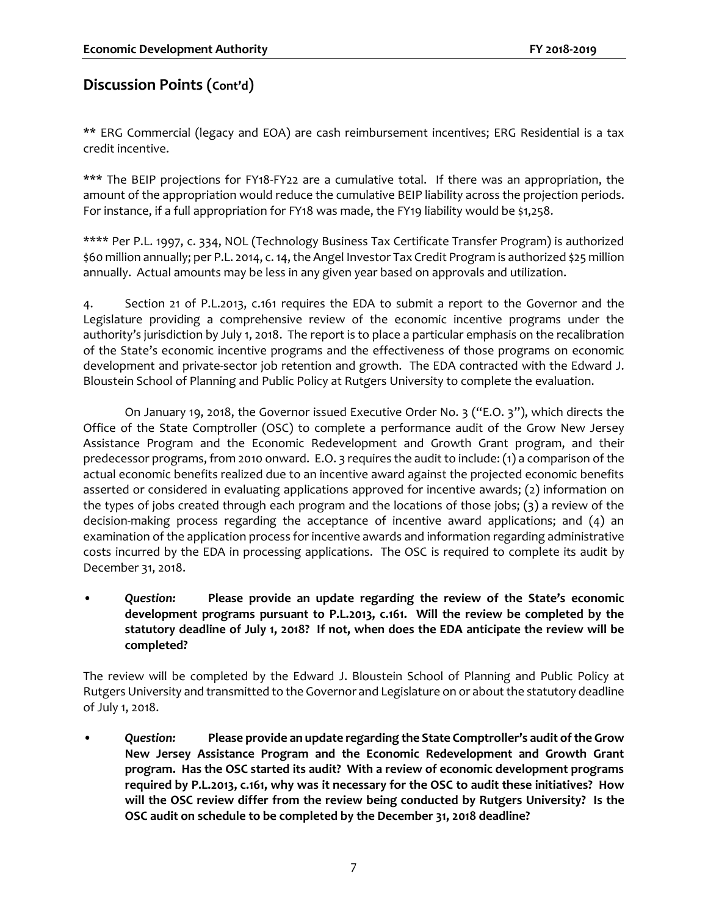\*\* ERG Commercial (legacy and EOA) are cash reimbursement incentives; ERG Residential is a tax credit incentive.

\*\*\* The BEIP projections for FY18-FY22 are a cumulative total. If there was an appropriation, the amount of the appropriation would reduce the cumulative BEIP liability across the projection periods. For instance, if a full appropriation for FY18 was made, the FY19 liability would be \$1,258.

\*\*\*\* Per P.L. 1997, c. 334, NOL (Technology Business Tax Certificate Transfer Program) is authorized \$60 million annually; per P.L. 2014, c. 14, the Angel Investor Tax Credit Program is authorized \$25 million annually. Actual amounts may be less in any given year based on approvals and utilization.

4. Section 21 of P.L.2013, c.161 requires the EDA to submit a report to the Governor and the Legislature providing a comprehensive review of the economic incentive programs under the authority's jurisdiction by July 1, 2018. The report is to place a particular emphasis on the recalibration of the State's economic incentive programs and the effectiveness of those programs on economic development and private-sector job retention and growth. The EDA contracted with the Edward J. Bloustein School of Planning and Public Policy at Rutgers University to complete the evaluation.

On January 19, 2018, the Governor issued Executive Order No. 3 ("E.O. 3"), which directs the Office of the State Comptroller (OSC) to complete a performance audit of the Grow New Jersey Assistance Program and the Economic Redevelopment and Growth Grant program, and their predecessor programs, from 2010 onward. E.O. 3 requires the audit to include: (1) a comparison of the actual economic benefits realized due to an incentive award against the projected economic benefits asserted or considered in evaluating applications approved for incentive awards; (2) information on the types of jobs created through each program and the locations of those jobs; (3) a review of the decision-making process regarding the acceptance of incentive award applications; and (4) an examination of the application process for incentive awards and information regarding administrative costs incurred by the EDA in processing applications. The OSC is required to complete its audit by December 31, 2018.

• *Question:* **Please provide an update regarding the review of the State's economic development programs pursuant to P.L.2013, c.161. Will the review be completed by the statutory deadline of July 1, 2018? If not, when does the EDA anticipate the review will be completed?** 

The review will be completed by the Edward J. Bloustein School of Planning and Public Policy at Rutgers University and transmitted to the Governor and Legislature on or about the statutory deadline of July 1, 2018.

• *Question:* **Please provide an update regarding the State Comptroller's audit of the Grow New Jersey Assistance Program and the Economic Redevelopment and Growth Grant program. Has the OSC started its audit? With a review of economic development programs required by P.L.2013, c.161, why was it necessary for the OSC to audit these initiatives? How will the OSC review differ from the review being conducted by Rutgers University? Is the OSC audit on schedule to be completed by the December 31, 2018 deadline?**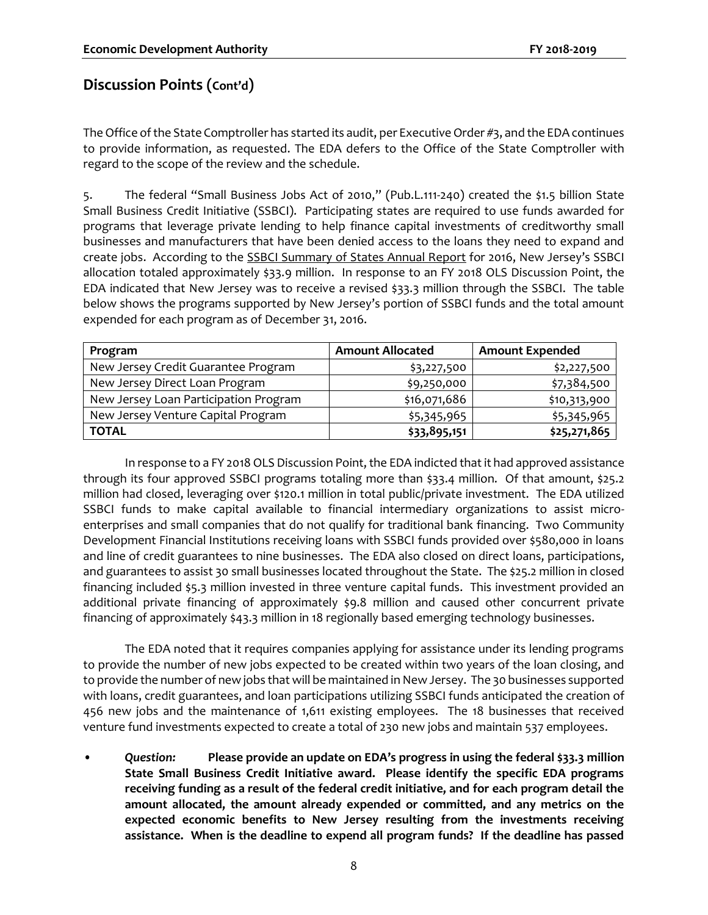The Office of the State Comptroller has started its audit, per Executive Order #3, and the EDA continues to provide information, as requested. The EDA defers to the Office of the State Comptroller with regard to the scope of the review and the schedule.

5. The federal "Small Business Jobs Act of 2010," (Pub.L.111-240) created the \$1.5 billion State Small Business Credit Initiative (SSBCI). Participating states are required to use funds awarded for programs that leverage private lending to help finance capital investments of creditworthy small businesses and manufacturers that have been denied access to the loans they need to expand and create jobs. According to the SSBCI Summary of States Annual Report for 2016, New Jersey's SSBCI allocation totaled approximately \$33.9 million. In response to an FY 2018 OLS Discussion Point, the EDA indicated that New Jersey was to receive a revised \$33.3 million through the SSBCI. The table below shows the programs supported by New Jersey's portion of SSBCI funds and the total amount expended for each program as of December 31, 2016.

| Program                               | <b>Amount Allocated</b> | <b>Amount Expended</b> |
|---------------------------------------|-------------------------|------------------------|
| New Jersey Credit Guarantee Program   | \$3,227,500             | \$2,227,500            |
| New Jersey Direct Loan Program        | \$9,250,000             | \$7,384,500            |
| New Jersey Loan Participation Program | \$16,071,686            | \$10,313,900           |
| New Jersey Venture Capital Program    | \$5,345,965             | \$5,345,965            |
| <b>TOTAL</b>                          | \$33,895,151            | \$25,271,865           |

In response to a FY 2018 OLS Discussion Point, the EDA indicted that it had approved assistance through its four approved SSBCI programs totaling more than \$33.4 million. Of that amount, \$25.2 million had closed, leveraging over \$120.1 million in total public/private investment. The EDA utilized SSBCI funds to make capital available to financial intermediary organizations to assist microenterprises and small companies that do not qualify for traditional bank financing. Two Community Development Financial Institutions receiving loans with SSBCI funds provided over \$580,000 in loans and line of credit guarantees to nine businesses. The EDA also closed on direct loans, participations, and guarantees to assist 30 small businesses located throughout the State. The \$25.2 million in closed financing included \$5.3 million invested in three venture capital funds. This investment provided an additional private financing of approximately \$9.8 million and caused other concurrent private financing of approximately \$43.3 million in 18 regionally based emerging technology businesses.

The EDA noted that it requires companies applying for assistance under its lending programs to provide the number of new jobs expected to be created within two years of the loan closing, and to provide the number of new jobs that will be maintained in New Jersey. The 30 businesses supported with loans, credit guarantees, and loan participations utilizing SSBCI funds anticipated the creation of 456 new jobs and the maintenance of 1,611 existing employees. The 18 businesses that received venture fund investments expected to create a total of 230 new jobs and maintain 537 employees.

• *Question:* **Please provide an update on EDA's progress in using the federal \$33.3 million State Small Business Credit Initiative award. Please identify the specific EDA programs receiving funding as a result of the federal credit initiative, and for each program detail the amount allocated, the amount already expended or committed, and any metrics on the expected economic benefits to New Jersey resulting from the investments receiving assistance. When is the deadline to expend all program funds? If the deadline has passed**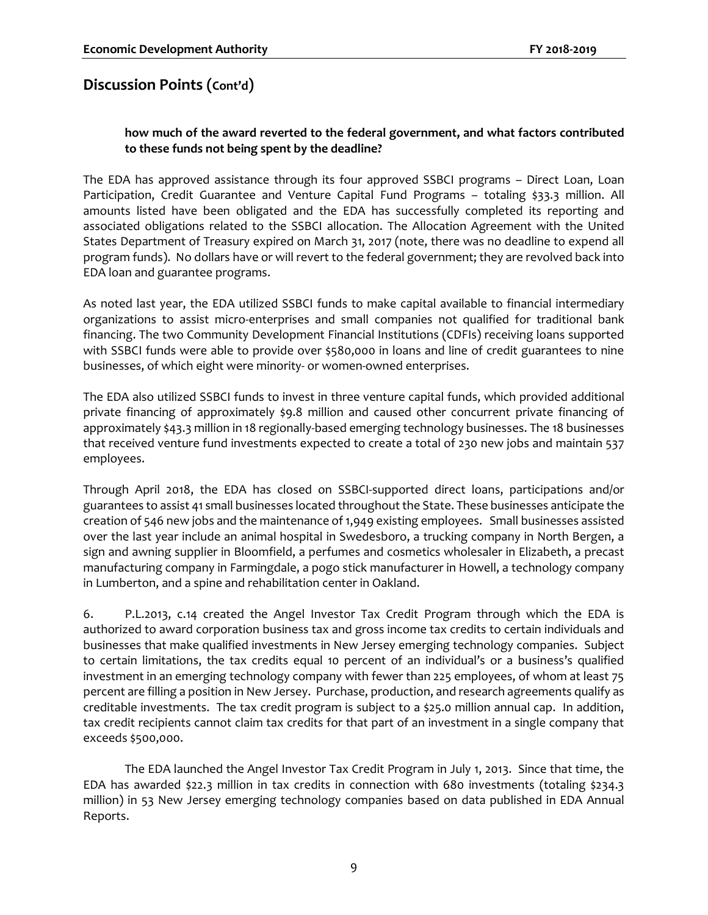#### **how much of the award reverted to the federal government, and what factors contributed to these funds not being spent by the deadline?**

The EDA has approved assistance through its four approved SSBCI programs – Direct Loan, Loan Participation, Credit Guarantee and Venture Capital Fund Programs - totaling \$33.3 million. All amounts listed have been obligated and the EDA has successfully completed its reporting and associated obligations related to the SSBCI allocation. The Allocation Agreement with the United States Department of Treasury expired on March 31, 2017 (note, there was no deadline to expend all program funds). No dollars have or will revert to the federal government; they are revolved back into EDA loan and guarantee programs.

As noted last year, the EDA utilized SSBCI funds to make capital available to financial intermediary organizations to assist micro-enterprises and small companies not qualified for traditional bank financing. The two Community Development Financial Institutions (CDFIs) receiving loans supported with SSBCI funds were able to provide over \$580,000 in loans and line of credit guarantees to nine businesses, of which eight were minority- or women-owned enterprises.

The EDA also utilized SSBCI funds to invest in three venture capital funds, which provided additional private financing of approximately \$9.8 million and caused other concurrent private financing of approximately \$43.3 million in 18 regionally-based emerging technology businesses. The 18 businesses that received venture fund investments expected to create a total of 230 new jobs and maintain 537 employees.

Through April 2018, the EDA has closed on SSBCI-supported direct loans, participations and/or guarantees to assist 41 small businesses located throughout the State. These businesses anticipate the creation of 546 new jobs and the maintenance of 1,949 existing employees. Small businesses assisted over the last year include an animal hospital in Swedesboro, a trucking company in North Bergen, a sign and awning supplier in Bloomfield, a perfumes and cosmetics wholesaler in Elizabeth, a precast manufacturing company in Farmingdale, a pogo stick manufacturer in Howell, a technology company in Lumberton, and a spine and rehabilitation center in Oakland.

6. P.L.2013, c.14 created the Angel Investor Tax Credit Program through which the EDA is authorized to award corporation business tax and gross income tax credits to certain individuals and businesses that make qualified investments in New Jersey emerging technology companies. Subject to certain limitations, the tax credits equal 10 percent of an individual's or a business's qualified investment in an emerging technology company with fewer than 225 employees, of whom at least 75 percent are filling a position in New Jersey. Purchase, production, and research agreements qualify as creditable investments. The tax credit program is subject to a \$25.0 million annual cap. In addition, tax credit recipients cannot claim tax credits for that part of an investment in a single company that exceeds \$500,000.

The EDA launched the Angel Investor Tax Credit Program in July 1, 2013. Since that time, the EDA has awarded \$22.3 million in tax credits in connection with 680 investments (totaling \$234.3 million) in 53 New Jersey emerging technology companies based on data published in EDA Annual Reports.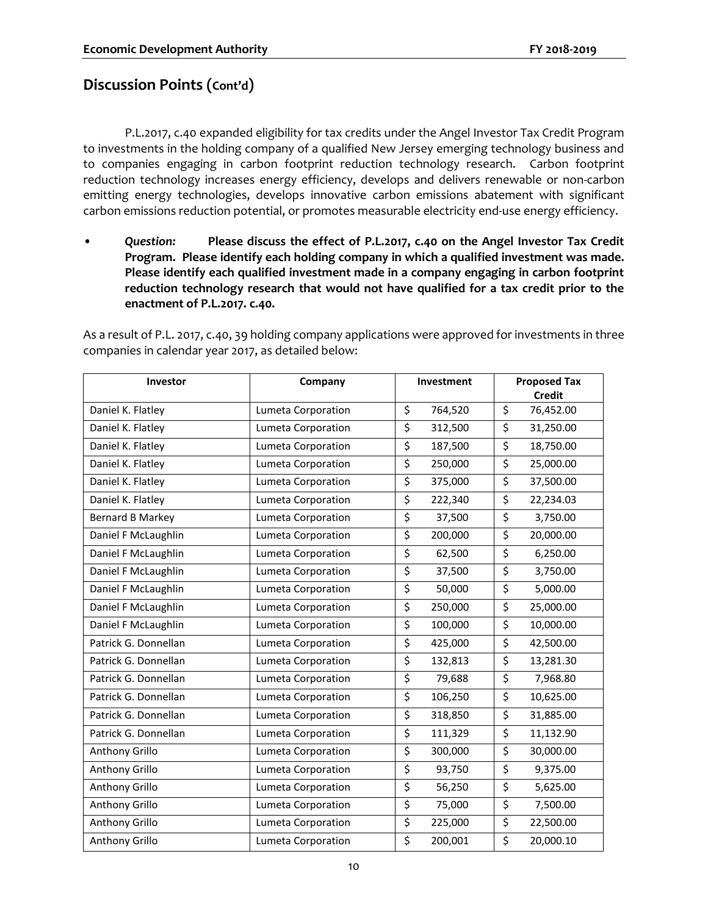P.L.2017, c.40 expanded eligibility for tax credits under the Angel Investor Tax Credit Program to investments in the holding company of a qualified New Jersey emerging technology business and to companies engaging in carbon footprint reduction technology research. Carbon footprint reduction technology increases energy efficiency, develops and delivers renewable or non-carbon emitting energy technologies, develops innovative carbon emissions abatement with significant carbon emissions reduction potential, or promotes measurable electricity end-use energy efficiency.

• *Question:* **Please discuss the effect of P.L.2017, c.40 on the Angel Investor Tax Credit Program. Please identify each holding company in which a qualified investment was made. Please identify each qualified investment made in a company engaging in carbon footprint reduction technology research that would not have qualified for a tax credit prior to the enactment of P.L.2017. c.40.**

As a result of P.L. 2017, c.40, 39 holding company applications were approved for investments in three companies in calendar year 2017, as detailed below:

| Investor                | Company            |                         | Investment | <b>Proposed Tax</b><br><b>Credit</b> |
|-------------------------|--------------------|-------------------------|------------|--------------------------------------|
| Daniel K. Flatley       | Lumeta Corporation | \$                      | 764,520    | \$<br>76,452.00                      |
| Daniel K. Flatley       | Lumeta Corporation | \$                      | 312,500    | \$<br>31,250.00                      |
| Daniel K. Flatley       | Lumeta Corporation | \$                      | 187,500    | \$<br>18,750.00                      |
| Daniel K. Flatley       | Lumeta Corporation | \$                      | 250,000    | \$<br>25,000.00                      |
| Daniel K. Flatley       | Lumeta Corporation | \$                      | 375,000    | \$<br>37,500.00                      |
| Daniel K. Flatley       | Lumeta Corporation | \$                      | 222,340    | \$<br>22,234.03                      |
| <b>Bernard B Markey</b> | Lumeta Corporation | $\overline{\xi}$        | 37,500     | \$<br>3,750.00                       |
| Daniel F McLaughlin     | Lumeta Corporation | \$                      | 200,000    | \$<br>20,000.00                      |
| Daniel F McLaughlin     | Lumeta Corporation | \$                      | 62,500     | \$<br>6,250.00                       |
| Daniel F McLaughlin     | Lumeta Corporation | \$                      | 37,500     | \$<br>3,750.00                       |
| Daniel F McLaughlin     | Lumeta Corporation | \$                      | 50,000     | \$<br>5,000.00                       |
| Daniel F McLaughlin     | Lumeta Corporation | $\overline{\mathsf{S}}$ | 250,000    | \$<br>25,000.00                      |
| Daniel F McLaughlin     | Lumeta Corporation | \$                      | 100,000    | \$<br>10,000.00                      |
| Patrick G. Donnellan    | Lumeta Corporation | \$                      | 425,000    | \$<br>42,500.00                      |
| Patrick G. Donnellan    | Lumeta Corporation | $\overline{\xi}$        | 132,813    | \$<br>13,281.30                      |
| Patrick G. Donnellan    | Lumeta Corporation | \$                      | 79,688     | \$<br>7,968.80                       |
| Patrick G. Donnellan    | Lumeta Corporation | \$                      | 106,250    | \$<br>10,625.00                      |
| Patrick G. Donnellan    | Lumeta Corporation | \$                      | 318,850    | \$<br>31,885.00                      |
| Patrick G. Donnellan    | Lumeta Corporation | \$                      | 111,329    | \$<br>11,132.90                      |
| Anthony Grillo          | Lumeta Corporation | \$                      | 300,000    | \$<br>30,000.00                      |
| Anthony Grillo          | Lumeta Corporation | \$                      | 93,750     | \$<br>9,375.00                       |
| Anthony Grillo          | Lumeta Corporation | \$                      | 56,250     | \$<br>5,625.00                       |
| Anthony Grillo          | Lumeta Corporation | \$                      | 75,000     | \$<br>7,500.00                       |
| Anthony Grillo          | Lumeta Corporation | \$                      | 225,000    | \$<br>22,500.00                      |
| Anthony Grillo          | Lumeta Corporation | \$                      | 200,001    | \$<br>20,000.10                      |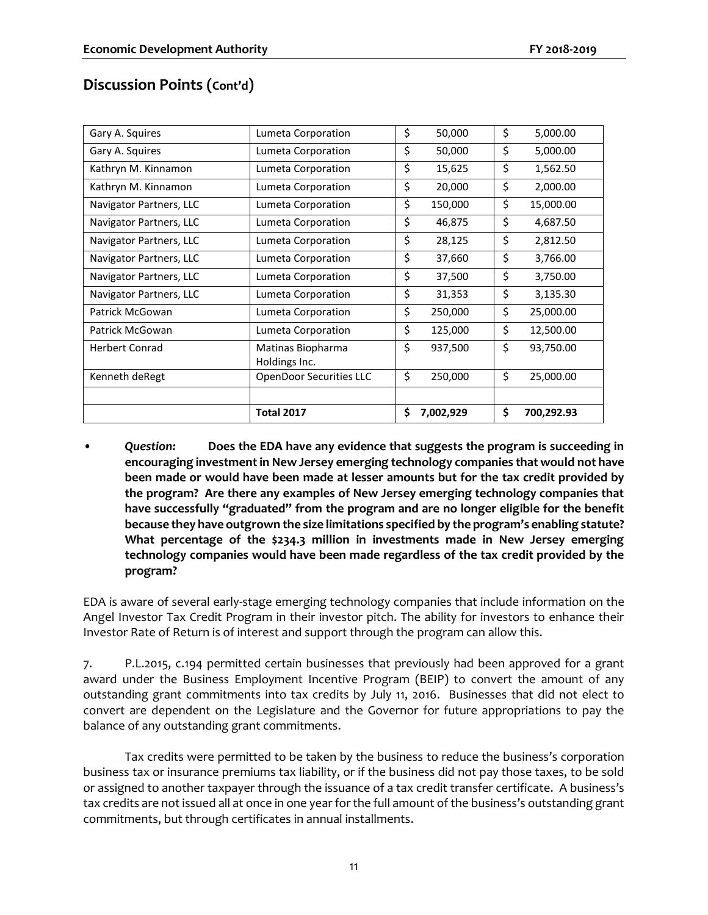| Gary A. Squires         | Lumeta Corporation                 | \$<br>50,000    | \$<br>5,000.00   |
|-------------------------|------------------------------------|-----------------|------------------|
| Gary A. Squires         | Lumeta Corporation                 | \$<br>50,000    | \$<br>5,000.00   |
| Kathryn M. Kinnamon     | Lumeta Corporation                 | \$<br>15,625    | \$<br>1,562.50   |
| Kathryn M. Kinnamon     | Lumeta Corporation                 | \$<br>20,000    | \$<br>2,000.00   |
| Navigator Partners, LLC | Lumeta Corporation                 | \$<br>150,000   | \$<br>15,000.00  |
| Navigator Partners, LLC | Lumeta Corporation                 | \$<br>46,875    | \$<br>4,687.50   |
| Navigator Partners, LLC | Lumeta Corporation                 | \$<br>28,125    | \$<br>2,812.50   |
| Navigator Partners, LLC | Lumeta Corporation                 | \$<br>37,660    | \$<br>3,766.00   |
| Navigator Partners, LLC | Lumeta Corporation                 | \$<br>37,500    | \$<br>3,750.00   |
| Navigator Partners, LLC | Lumeta Corporation                 | \$<br>31,353    | \$<br>3,135.30   |
| Patrick McGowan         | Lumeta Corporation                 | \$<br>250,000   | \$<br>25,000.00  |
| Patrick McGowan         | Lumeta Corporation                 | \$<br>125,000   | \$<br>12,500.00  |
| <b>Herbert Conrad</b>   | Matinas Biopharma<br>Holdings Inc. | \$<br>937,500   | \$<br>93,750.00  |
| Kenneth deRegt          | <b>OpenDoor Securities LLC</b>     | \$<br>250,000   | \$<br>25,000.00  |
|                         |                                    |                 |                  |
|                         | <b>Total 2017</b>                  | \$<br>7,002,929 | \$<br>700,292.93 |

• *Question:* **Does the EDA have any evidence that suggests the program is succeeding in encouraging investment in New Jersey emerging technology companies that would not have been made or would have been made at lesser amounts but for the tax credit provided by the program? Are there any examples of New Jersey emerging technology companies that have successfully "graduated" from the program and are no longer eligible for the benefit because they have outgrown the size limitations specified by the program's enabling statute? What percentage of the \$234.3 million in investments made in New Jersey emerging technology companies would have been made regardless of the tax credit provided by the program?**

EDA is aware of several early-stage emerging technology companies that include information on the Angel Investor Tax Credit Program in their investor pitch. The ability for investors to enhance their Investor Rate of Return is of interest and support through the program can allow this.

7. P.L.2015, c.194 permitted certain businesses that previously had been approved for a grant award under the Business Employment Incentive Program (BEIP) to convert the amount of any outstanding grant commitments into tax credits by July 11, 2016. Businesses that did not elect to convert are dependent on the Legislature and the Governor for future appropriations to pay the balance of any outstanding grant commitments.

Tax credits were permitted to be taken by the business to reduce the business's corporation business tax or insurance premiums tax liability, or if the business did not pay those taxes, to be sold or assigned to another taxpayer through the issuance of a tax credit transfer certificate. A business's tax credits are not issued all at once in one year for the full amount of the business's outstanding grant commitments, but through certificates in annual installments.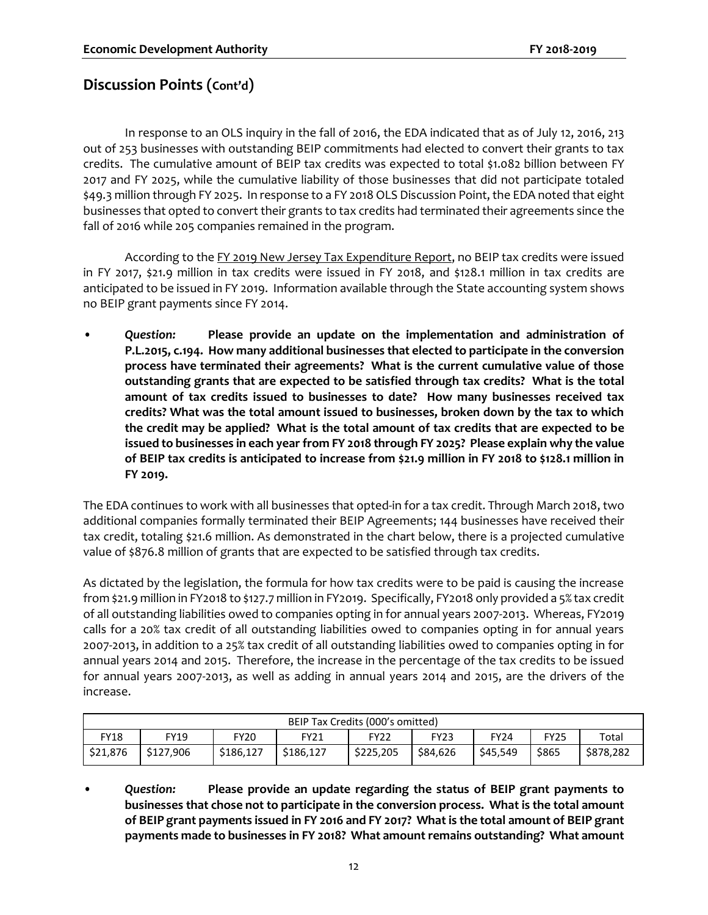In response to an OLS inquiry in the fall of 2016, the EDA indicated that as of July 12, 2016, 213 out of 253 businesses with outstanding BEIP commitments had elected to convert their grants to tax credits. The cumulative amount of BEIP tax credits was expected to total \$1.082 billion between FY 2017 and FY 2025, while the cumulative liability of those businesses that did not participate totaled \$49.3 million through FY 2025. In response to a FY 2018 OLS Discussion Point, the EDA noted that eight businesses that opted to convert their grants to tax credits had terminated their agreements since the fall of 2016 while 205 companies remained in the program.

According to the FY 2019 New Jersey Tax Expenditure Report, no BEIP tax credits were issued in FY 2017, \$21.9 million in tax credits were issued in FY 2018, and \$128.1 million in tax credits are anticipated to be issued in FY 2019. Information available through the State accounting system shows no BEIP grant payments since FY 2014.

• *Question:* **Please provide an update on the implementation and administration of P.L.2015, c.194. How many additional businesses that elected to participate in the conversion process have terminated their agreements? What is the current cumulative value of those outstanding grants that are expected to be satisfied through tax credits? What is the total amount of tax credits issued to businesses to date? How many businesses received tax credits? What was the total amount issued to businesses, broken down by the tax to which the credit may be applied? What is the total amount of tax credits that are expected to be issued to businesses in each year from FY 2018 through FY 2025? Please explain why the value of BEIP tax credits is anticipated to increase from \$21.9 million in FY 2018 to \$128.1 million in FY 2019.**

The EDA continues to work with all businesses that opted-in for a tax credit. Through March 2018, two additional companies formally terminated their BEIP Agreements; 144 businesses have received their tax credit, totaling \$21.6 million. As demonstrated in the chart below, there is a projected cumulative value of \$876.8 million of grants that are expected to be satisfied through tax credits.

As dictated by the legislation, the formula for how tax credits were to be paid is causing the increase from \$21.9 million in FY2018 to \$127.7 million in FY2019. Specifically, FY2018 only provided a 5% tax credit of all outstanding liabilities owed to companies opting in for annual years 2007-2013. Whereas, FY2019 calls for a 20% tax credit of all outstanding liabilities owed to companies opting in for annual years 2007-2013, in addition to a 25% tax credit of all outstanding liabilities owed to companies opting in for annual years 2014 and 2015. Therefore, the increase in the percentage of the tax credits to be issued for annual years 2007-2013, as well as adding in annual years 2014 and 2015, are the drivers of the increase.

| BEIP Tax Credits (000's omitted) |           |           |             |             |             |             |             |           |
|----------------------------------|-----------|-----------|-------------|-------------|-------------|-------------|-------------|-----------|
| FY18                             | FY19      | FY20      | <b>FY21</b> | <b>FY22</b> | <b>FY23</b> | <b>FY24</b> | <b>FY25</b> | Total     |
| \$21,876                         | \$127.906 | \$186,127 | \$186.127   | \$225,205   | \$84.626    | \$45,549    | \$865       | \$878,282 |

• *Question:* **Please provide an update regarding the status of BEIP grant payments to businesses that chose not to participate in the conversion process. What is the total amount of BEIP grant payments issued in FY 2016 and FY 2017? What is the total amount of BEIP grant payments made to businesses in FY 2018? What amount remains outstanding? What amount**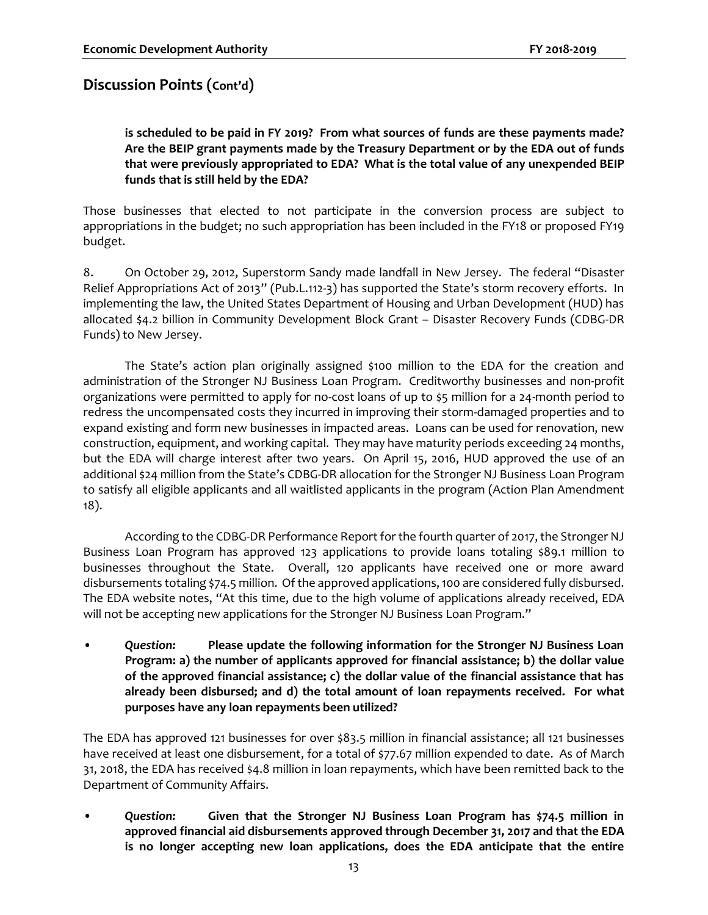**is scheduled to be paid in FY 2019? From what sources of funds are these payments made? Are the BEIP grant payments made by the Treasury Department or by the EDA out of funds that were previously appropriated to EDA? What is the total value of any unexpended BEIP funds that is still held by the EDA?**

Those businesses that elected to not participate in the conversion process are subject to appropriations in the budget; no such appropriation has been included in the FY18 or proposed FY19 budget.

8. On October 29, 2012, Superstorm Sandy made landfall in New Jersey. The federal "Disaster Relief Appropriations Act of 2013" (Pub.L.112-3) has supported the State's storm recovery efforts. In implementing the law, the United States Department of Housing and Urban Development (HUD) has allocated \$4.2 billion in Community Development Block Grant – Disaster Recovery Funds (CDBG-DR Funds) to New Jersey.

The State's action plan originally assigned \$100 million to the EDA for the creation and administration of the Stronger NJ Business Loan Program. Creditworthy businesses and non-profit organizations were permitted to apply for no-cost loans of up to \$5 million for a 24-month period to redress the uncompensated costs they incurred in improving their storm-damaged properties and to expand existing and form new businesses in impacted areas. Loans can be used for renovation, new construction, equipment, and working capital. They may have maturity periods exceeding 24 months, but the EDA will charge interest after two years. On April 15, 2016, HUD approved the use of an additional \$24 million from the State's CDBG-DR allocation for the Stronger NJ Business Loan Program to satisfy all eligible applicants and all waitlisted applicants in the program (Action Plan Amendment 18).

According to the CDBG-DR Performance Report for the fourth quarter of 2017, the Stronger NJ Business Loan Program has approved 123 applications to provide loans totaling \$89.1 million to businesses throughout the State. Overall, 120 applicants have received one or more award disbursements totaling \$74.5 million. Of the approved applications, 100 are considered fully disbursed. The EDA website notes, "At this time, due to the high volume of applications already received, EDA will not be accepting new applications for the Stronger NJ Business Loan Program."

• *Question:* **Please update the following information for the Stronger NJ Business Loan Program: a) the number of applicants approved for financial assistance; b) the dollar value of the approved financial assistance; c) the dollar value of the financial assistance that has already been disbursed; and d) the total amount of loan repayments received. For what purposes have any loan repayments been utilized?**

The EDA has approved 121 businesses for over \$83.5 million in financial assistance; all 121 businesses have received at least one disbursement, for a total of \$77.67 million expended to date. As of March 31, 2018, the EDA has received \$4.8 million in loan repayments, which have been remitted back to the Department of Community Affairs.

• *Question:* **Given that the Stronger NJ Business Loan Program has \$74.5 million in approved financial aid disbursements approved through December 31, 2017 and that the EDA is no longer accepting new loan applications, does the EDA anticipate that the entire**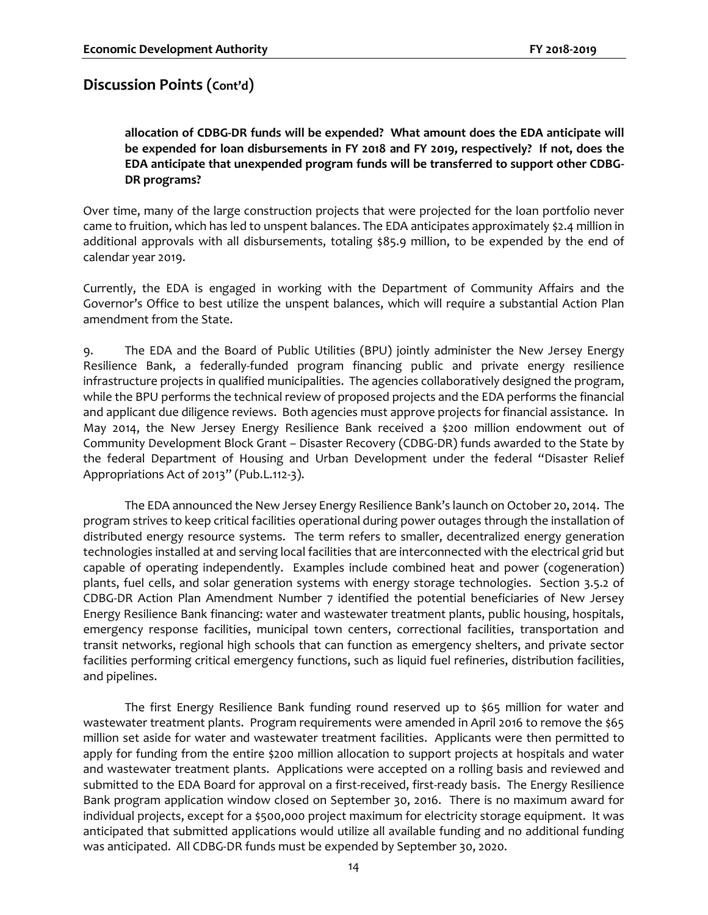**allocation of CDBG-DR funds will be expended? What amount does the EDA anticipate will be expended for loan disbursements in FY 2018 and FY 2019, respectively? If not, does the EDA anticipate that unexpended program funds will be transferred to support other CDBG-DR programs?**

Over time, many of the large construction projects that were projected for the loan portfolio never came to fruition, which has led to unspent balances. The EDA anticipates approximately \$2.4 million in additional approvals with all disbursements, totaling \$85.9 million, to be expended by the end of calendar year 2019.

Currently, the EDA is engaged in working with the Department of Community Affairs and the Governor's Office to best utilize the unspent balances, which will require a substantial Action Plan amendment from the State.

9. The EDA and the Board of Public Utilities (BPU) jointly administer the New Jersey Energy Resilience Bank, a federally-funded program financing public and private energy resilience infrastructure projects in qualified municipalities. The agencies collaboratively designed the program, while the BPU performs the technical review of proposed projects and the EDA performs the financial and applicant due diligence reviews. Both agencies must approve projects for financial assistance. In May 2014, the New Jersey Energy Resilience Bank received a \$200 million endowment out of Community Development Block Grant – Disaster Recovery (CDBG-DR) funds awarded to the State by the federal Department of Housing and Urban Development under the federal "Disaster Relief Appropriations Act of 2013" (Pub.L.112-3).

The EDA announced the New Jersey Energy Resilience Bank's launch on October 20, 2014. The program strives to keep critical facilities operational during power outages through the installation of distributed energy resource systems. The term refers to smaller, decentralized energy generation technologies installed at and serving local facilities that are interconnected with the electrical grid but capable of operating independently. Examples include combined heat and power (cogeneration) plants, fuel cells, and solar generation systems with energy storage technologies. Section 3.5.2 of CDBG-DR Action Plan Amendment Number 7 identified the potential beneficiaries of New Jersey Energy Resilience Bank financing: water and wastewater treatment plants, public housing, hospitals, emergency response facilities, municipal town centers, correctional facilities, transportation and transit networks, regional high schools that can function as emergency shelters, and private sector facilities performing critical emergency functions, such as liquid fuel refineries, distribution facilities, and pipelines.

The first Energy Resilience Bank funding round reserved up to \$65 million for water and wastewater treatment plants. Program requirements were amended in April 2016 to remove the \$65 million set aside for water and wastewater treatment facilities. Applicants were then permitted to apply for funding from the entire \$200 million allocation to support projects at hospitals and water and wastewater treatment plants. Applications were accepted on a rolling basis and reviewed and submitted to the EDA Board for approval on a first-received, first-ready basis. The Energy Resilience Bank program application window closed on September 30, 2016. There is no maximum award for individual projects, except for a \$500,000 project maximum for electricity storage equipment. It was anticipated that submitted applications would utilize all available funding and no additional funding was anticipated. All CDBG-DR funds must be expended by September 30, 2020.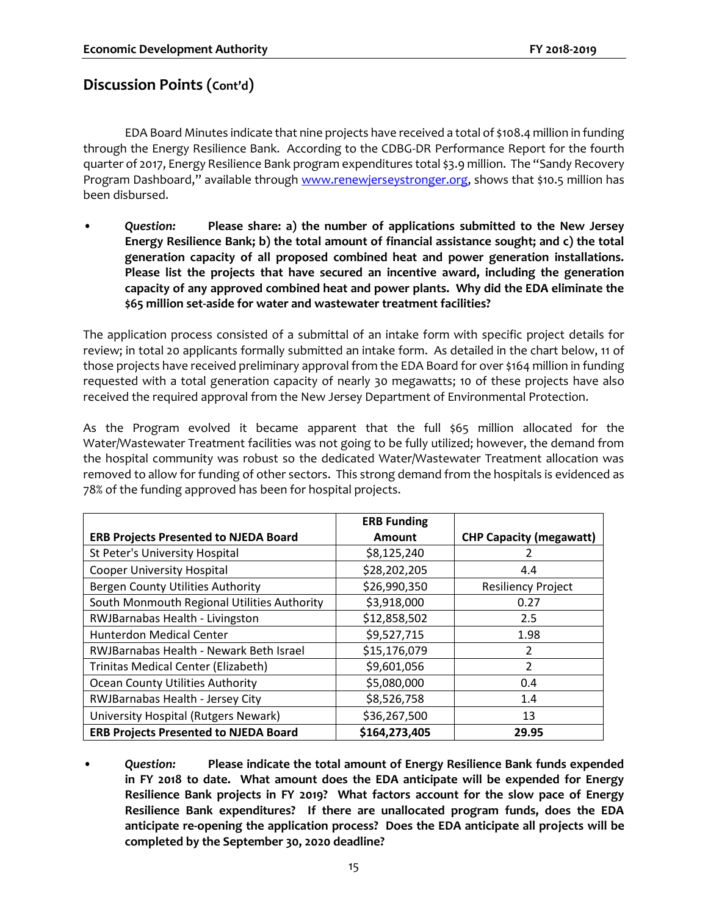EDA Board Minutes indicate that nine projects have received a total of \$108.4 million in funding through the Energy Resilience Bank. According to the CDBG-DR Performance Report for the fourth quarter of 2017, Energy Resilience Bank program expenditures total \$3.9 million. The "Sandy Recovery Program Dashboard," available through [www.renewjerseystronger.org,](http://www.renewjerseystronger.org/) shows that \$10.5 million has been disbursed.

• *Question:* **Please share: a) the number of applications submitted to the New Jersey Energy Resilience Bank; b) the total amount of financial assistance sought; and c) the total generation capacity of all proposed combined heat and power generation installations. Please list the projects that have secured an incentive award, including the generation capacity of any approved combined heat and power plants. Why did the EDA eliminate the \$65 million set-aside for water and wastewater treatment facilities?** 

The application process consisted of a submittal of an intake form with specific project details for review; in total 20 applicants formally submitted an intake form. As detailed in the chart below, 11 of those projects have received preliminary approval from the EDA Board for over \$164 million in funding requested with a total generation capacity of nearly 30 megawatts; 10 of these projects have also received the required approval from the New Jersey Department of Environmental Protection.

As the Program evolved it became apparent that the full \$65 million allocated for the Water/Wastewater Treatment facilities was not going to be fully utilized; however, the demand from the hospital community was robust so the dedicated Water/Wastewater Treatment allocation was removed to allow for funding of other sectors. This strong demand from the hospitals is evidenced as 78% of the funding approved has been for hospital projects.

|                                              | <b>ERB Funding</b> |                                |
|----------------------------------------------|--------------------|--------------------------------|
| <b>ERB Projects Presented to NJEDA Board</b> | Amount             | <b>CHP Capacity (megawatt)</b> |
| St Peter's University Hospital               | \$8,125,240        |                                |
| <b>Cooper University Hospital</b>            | \$28,202,205       | 4.4                            |
| Bergen County Utilities Authority            | \$26,990,350       | <b>Resiliency Project</b>      |
| South Monmouth Regional Utilities Authority  | \$3,918,000        | 0.27                           |
| RWJBarnabas Health - Livingston              | \$12,858,502       | 2.5                            |
| Hunterdon Medical Center                     | \$9,527,715        | 1.98                           |
| RWJBarnabas Health - Newark Beth Israel      | \$15,176,079       | 2                              |
| Trinitas Medical Center (Elizabeth)          | \$9,601,056        | $\overline{2}$                 |
| <b>Ocean County Utilities Authority</b>      | \$5,080,000        | 0.4                            |
| RWJBarnabas Health - Jersey City             | \$8,526,758        | 1.4                            |
| University Hospital (Rutgers Newark)         | \$36,267,500       | 13                             |
| <b>ERB Projects Presented to NJEDA Board</b> | \$164,273,405      | 29.95                          |

• *Question:* **Please indicate the total amount of Energy Resilience Bank funds expended in FY 2018 to date. What amount does the EDA anticipate will be expended for Energy Resilience Bank projects in FY 2019? What factors account for the slow pace of Energy Resilience Bank expenditures? If there are unallocated program funds, does the EDA anticipate re-opening the application process? Does the EDA anticipate all projects will be completed by the September 30, 2020 deadline?**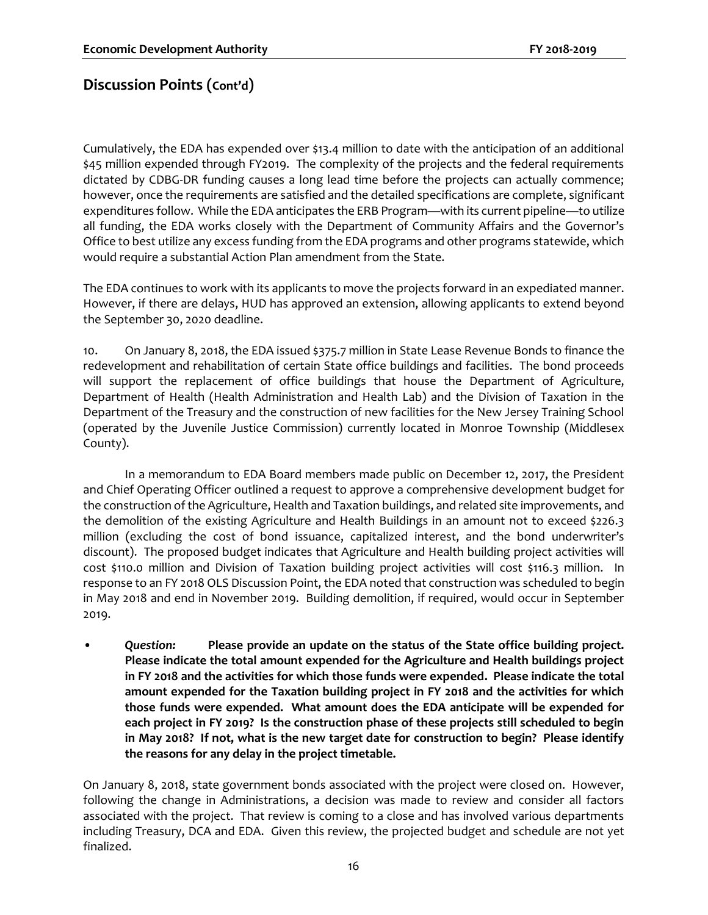Cumulatively, the EDA has expended over \$13.4 million to date with the anticipation of an additional \$45 million expended through FY2019. The complexity of the projects and the federal requirements dictated by CDBG-DR funding causes a long lead time before the projects can actually commence; however, once the requirements are satisfied and the detailed specifications are complete, significant expenditures follow. While the EDA anticipates the ERB Program—with its current pipeline—to utilize all funding, the EDA works closely with the Department of Community Affairs and the Governor's Office to best utilize any excess funding from the EDA programs and other programs statewide, which would require a substantial Action Plan amendment from the State.

The EDA continues to work with its applicants to move the projects forward in an expediated manner. However, if there are delays, HUD has approved an extension, allowing applicants to extend beyond the September 30, 2020 deadline.

10. On January 8, 2018, the EDA issued \$375.7 million in State Lease Revenue Bonds to finance the redevelopment and rehabilitation of certain State office buildings and facilities. The bond proceeds will support the replacement of office buildings that house the Department of Agriculture, Department of Health (Health Administration and Health Lab) and the Division of Taxation in the Department of the Treasury and the construction of new facilities for the New Jersey Training School (operated by the Juvenile Justice Commission) currently located in Monroe Township (Middlesex County).

In a memorandum to EDA Board members made public on December 12, 2017, the President and Chief Operating Officer outlined a request to approve a comprehensive development budget for the construction of the Agriculture, Health and Taxation buildings, and related site improvements, and the demolition of the existing Agriculture and Health Buildings in an amount not to exceed \$226.3 million (excluding the cost of bond issuance, capitalized interest, and the bond underwriter's discount). The proposed budget indicates that Agriculture and Health building project activities will cost \$110.0 million and Division of Taxation building project activities will cost \$116.3 million. In response to an FY 2018 OLS Discussion Point, the EDA noted that construction was scheduled to begin in May 2018 and end in November 2019. Building demolition, if required, would occur in September 2019.

• *Question:* **Please provide an update on the status of the State office building project. Please indicate the total amount expended for the Agriculture and Health buildings project in FY 2018 and the activities for which those funds were expended. Please indicate the total amount expended for the Taxation building project in FY 2018 and the activities for which those funds were expended. What amount does the EDA anticipate will be expended for each project in FY 2019? Is the construction phase of these projects still scheduled to begin in May 2018? If not, what is the new target date for construction to begin? Please identify the reasons for any delay in the project timetable.** 

On January 8, 2018, state government bonds associated with the project were closed on. However, following the change in Administrations, a decision was made to review and consider all factors associated with the project. That review is coming to a close and has involved various departments including Treasury, DCA and EDA. Given this review, the projected budget and schedule are not yet finalized.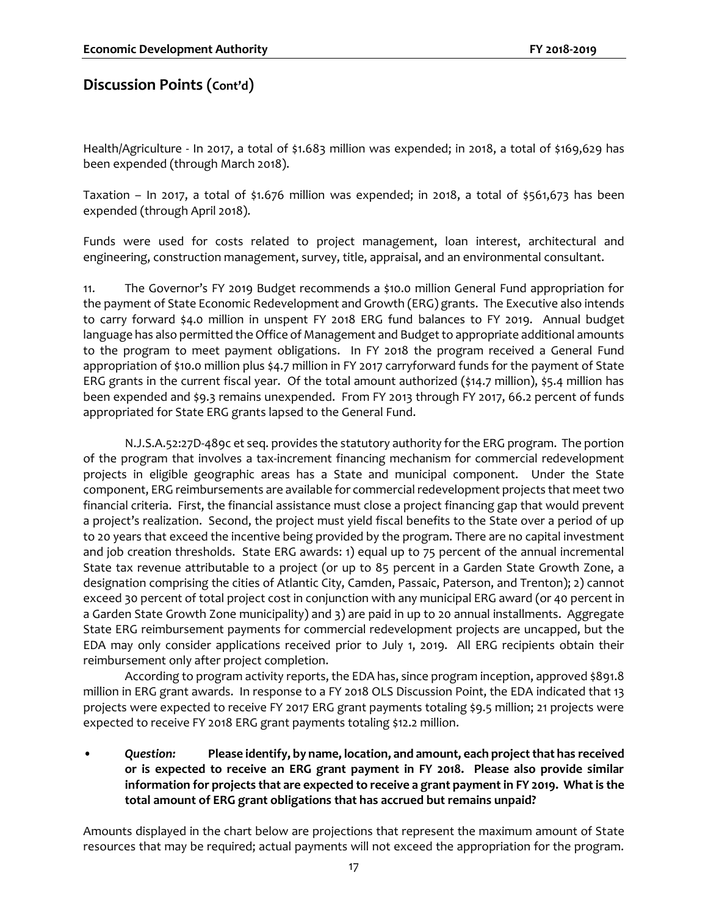Health/Agriculture - In 2017, a total of \$1.683 million was expended; in 2018, a total of \$169,629 has been expended (through March 2018).

Taxation – In 2017, a total of \$1.676 million was expended; in 2018, a total of \$561,673 has been expended (through April 2018).

Funds were used for costs related to project management, loan interest, architectural and engineering, construction management, survey, title, appraisal, and an environmental consultant.

11. The Governor's FY 2019 Budget recommends a \$10.0 million General Fund appropriation for the payment of State Economic Redevelopment and Growth (ERG) grants. The Executive also intends to carry forward \$4.0 million in unspent FY 2018 ERG fund balances to FY 2019. Annual budget language has also permitted the Office of Management and Budget to appropriate additional amounts to the program to meet payment obligations. In FY 2018 the program received a General Fund appropriation of \$10.0 million plus \$4.7 million in FY 2017 carryforward funds for the payment of State ERG grants in the current fiscal year. Of the total amount authorized (\$14.7 million), \$5.4 million has been expended and \$9.3 remains unexpended. From FY 2013 through FY 2017, 66.2 percent of funds appropriated for State ERG grants lapsed to the General Fund.

N.J.S.A.52:27D-489c et seq. provides the statutory authority for the ERG program. The portion of the program that involves a tax-increment financing mechanism for commercial redevelopment projects in eligible geographic areas has a State and municipal component. Under the State component, ERG reimbursements are available for commercial redevelopment projects that meet two financial criteria. First, the financial assistance must close a project financing gap that would prevent a project's realization. Second, the project must yield fiscal benefits to the State over a period of up to 20 years that exceed the incentive being provided by the program. There are no capital investment and job creation thresholds. State ERG awards: 1) equal up to 75 percent of the annual incremental State tax revenue attributable to a project (or up to 85 percent in a Garden State Growth Zone, a designation comprising the cities of Atlantic City, Camden, Passaic, Paterson, and Trenton); 2) cannot exceed 30 percent of total project cost in conjunction with any municipal ERG award (or 40 percent in a Garden State Growth Zone municipality) and 3) are paid in up to 20 annual installments. Aggregate State ERG reimbursement payments for commercial redevelopment projects are uncapped, but the EDA may only consider applications received prior to July 1, 2019. All ERG recipients obtain their reimbursement only after project completion.

According to program activity reports, the EDA has, since program inception, approved \$891.8 million in ERG grant awards. In response to a FY 2018 OLS Discussion Point, the EDA indicated that 13 projects were expected to receive FY 2017 ERG grant payments totaling \$9.5 million; 21 projects were expected to receive FY 2018 ERG grant payments totaling \$12.2 million.

• *Question:* **Please identify, by name, location, and amount, each project that has received or is expected to receive an ERG grant payment in FY 2018. Please also provide similar information for projects that are expected to receive a grant payment in FY 2019. What is the total amount of ERG grant obligations that has accrued but remains unpaid?**

Amounts displayed in the chart below are projections that represent the maximum amount of State resources that may be required; actual payments will not exceed the appropriation for the program.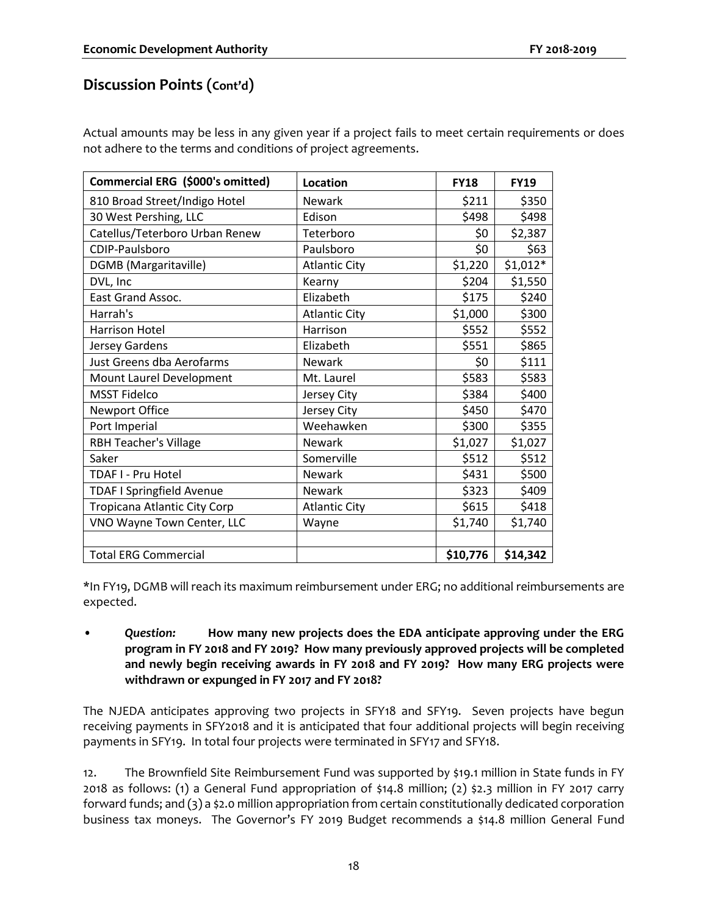Actual amounts may be less in any given year if a project fails to meet certain requirements or does not adhere to the terms and conditions of project agreements.

| Commercial ERG (\$000's omitted) | <b>Location</b>      | <b>FY18</b> | <b>FY19</b> |
|----------------------------------|----------------------|-------------|-------------|
| 810 Broad Street/Indigo Hotel    | <b>Newark</b>        | \$211       | \$350       |
| 30 West Pershing, LLC            | Edison               | \$498       | \$498       |
| Catellus/Teterboro Urban Renew   | Teterboro            | \$0         | \$2,387     |
| CDIP-Paulsboro                   | Paulsboro            | \$0         | \$63        |
| <b>DGMB</b> (Margaritaville)     | <b>Atlantic City</b> | \$1,220     | $$1,012*$   |
| DVL, Inc                         | Kearny               | \$204       | \$1,550     |
| <b>East Grand Assoc.</b>         | Elizabeth            | \$175       | \$240       |
| Harrah's                         | <b>Atlantic City</b> | \$1,000     | \$300       |
| Harrison Hotel                   | Harrison             | \$552       | \$552       |
| Jersey Gardens                   | Elizabeth            | \$551       | \$865       |
| Just Greens dba Aerofarms        | Newark               | \$0         | \$111       |
| Mount Laurel Development         | Mt. Laurel           | \$583       | \$583       |
| <b>MSST Fidelco</b>              | Jersey City          | \$384       | \$400       |
| <b>Newport Office</b>            | Jersey City          | \$450       | \$470       |
| Port Imperial                    | Weehawken            | \$300       | \$355       |
| <b>RBH Teacher's Village</b>     | <b>Newark</b>        | \$1,027     | \$1,027     |
| Saker                            | Somerville           | \$512       | \$512       |
| TDAF I - Pru Hotel               | <b>Newark</b>        | \$431       | \$500       |
| <b>TDAF I Springfield Avenue</b> | <b>Newark</b>        | \$323       | \$409       |
| Tropicana Atlantic City Corp     | <b>Atlantic City</b> | \$615       | \$418       |
| VNO Wayne Town Center, LLC       | Wayne                | \$1,740     | \$1,740     |
|                                  |                      |             |             |
| <b>Total ERG Commercial</b>      |                      | \$10,776    | \$14,342    |

\*In FY19, DGMB will reach its maximum reimbursement under ERG; no additional reimbursements are expected.

• *Question:* **How many new projects does the EDA anticipate approving under the ERG program in FY 2018 and FY 2019? How many previously approved projects will be completed and newly begin receiving awards in FY 2018 and FY 2019? How many ERG projects were withdrawn or expunged in FY 2017 and FY 2018?** 

The NJEDA anticipates approving two projects in SFY18 and SFY19. Seven projects have begun receiving payments in SFY2018 and it is anticipated that four additional projects will begin receiving payments in SFY19. In total four projects were terminated in SFY17 and SFY18.

12. The Brownfield Site Reimbursement Fund was supported by \$19.1 million in State funds in FY 2018 as follows: (1) a General Fund appropriation of \$14.8 million; (2) \$2.3 million in FY 2017 carry forward funds; and (3) a \$2.0 million appropriation from certain constitutionally dedicated corporation business tax moneys. The Governor's FY 2019 Budget recommends a \$14.8 million General Fund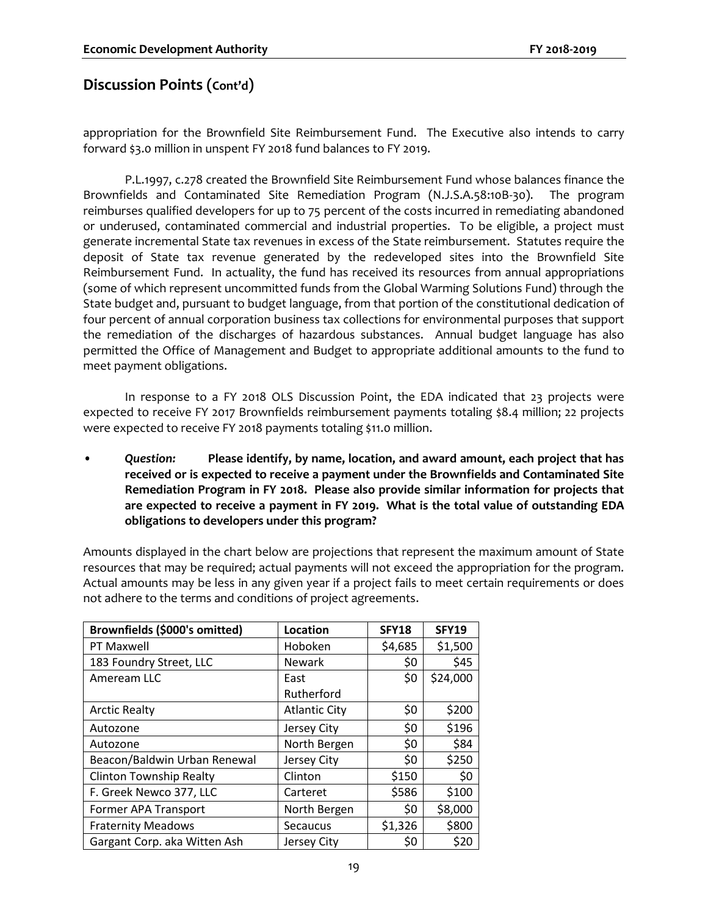appropriation for the Brownfield Site Reimbursement Fund. The Executive also intends to carry forward \$3.0 million in unspent FY 2018 fund balances to FY 2019.

P.L.1997, c.278 created the Brownfield Site Reimbursement Fund whose balances finance the Brownfields and Contaminated Site Remediation Program (N.J.S.A.58:10B-30). The program reimburses qualified developers for up to 75 percent of the costs incurred in remediating abandoned or underused, contaminated commercial and industrial properties. To be eligible, a project must generate incremental State tax revenues in excess of the State reimbursement. Statutes require the deposit of State tax revenue generated by the redeveloped sites into the Brownfield Site Reimbursement Fund. In actuality, the fund has received its resources from annual appropriations (some of which represent uncommitted funds from the Global Warming Solutions Fund) through the State budget and, pursuant to budget language, from that portion of the constitutional dedication of four percent of annual corporation business tax collections for environmental purposes that support the remediation of the discharges of hazardous substances. Annual budget language has also permitted the Office of Management and Budget to appropriate additional amounts to the fund to meet payment obligations.

In response to a FY 2018 OLS Discussion Point, the EDA indicated that 23 projects were expected to receive FY 2017 Brownfields reimbursement payments totaling \$8.4 million; 22 projects were expected to receive FY 2018 payments totaling \$11.0 million.

• *Question:* **Please identify, by name, location, and award amount, each project that has received or is expected to receive a payment under the Brownfields and Contaminated Site Remediation Program in FY 2018. Please also provide similar information for projects that are expected to receive a payment in FY 2019. What is the total value of outstanding EDA obligations to developers under this program?**

Amounts displayed in the chart below are projections that represent the maximum amount of State resources that may be required; actual payments will not exceed the appropriation for the program. Actual amounts may be less in any given year if a project fails to meet certain requirements or does not adhere to the terms and conditions of project agreements.

| Brownfields (\$000's omitted)  | Location             | <b>SFY18</b> | SFY19    |
|--------------------------------|----------------------|--------------|----------|
| PT Maxwell                     | Hoboken              | \$4,685      | \$1,500  |
| 183 Foundry Street, LLC        | <b>Newark</b>        | \$0          | \$45     |
| Ameream LLC                    | East                 | \$0          | \$24,000 |
|                                | Rutherford           |              |          |
| <b>Arctic Realty</b>           | <b>Atlantic City</b> | \$0          | \$200    |
| Autozone                       | Jersey City          | \$0          | \$196    |
| Autozone                       | North Bergen         | \$0          | \$84     |
| Beacon/Baldwin Urban Renewal   | Jersey City          | \$0          | \$250    |
| <b>Clinton Township Realty</b> | Clinton              | \$150        | \$0      |
| F. Greek Newco 377, LLC        | Carteret             | \$586        | \$100    |
| Former APA Transport           | North Bergen         | \$0          | \$8,000  |
| <b>Fraternity Meadows</b>      | Secaucus             | \$1,326      | \$800    |
| Gargant Corp. aka Witten Ash   | Jersey City          | \$0          | \$20     |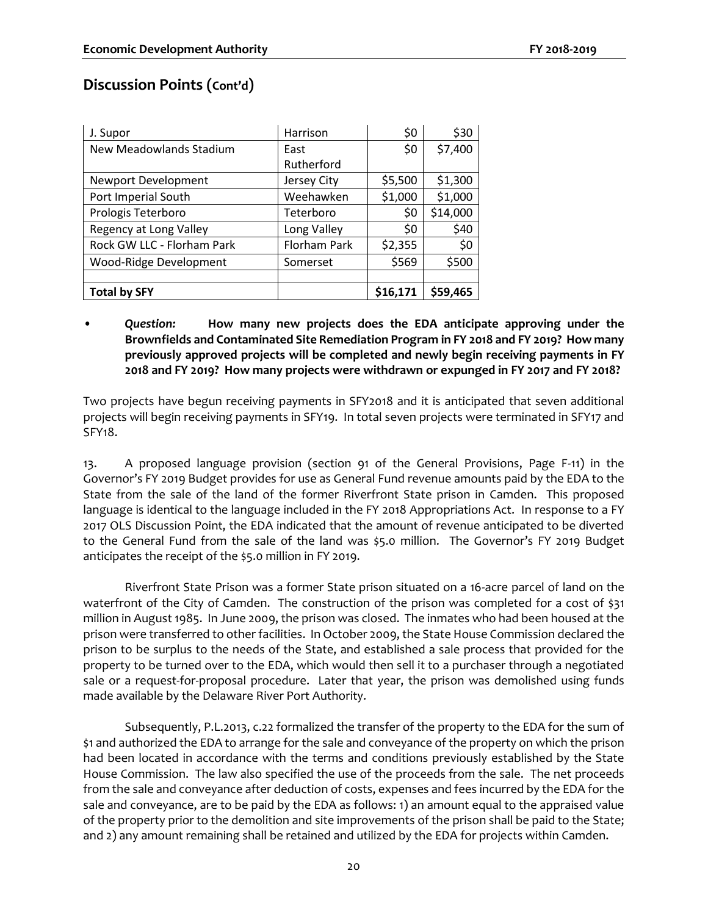| J. Supor                       | Harrison            | \$0      | \$30     |
|--------------------------------|---------------------|----------|----------|
| <b>New Meadowlands Stadium</b> | East                | \$0      | \$7,400  |
|                                | Rutherford          |          |          |
| Newport Development            | Jersey City         | \$5,500  | \$1,300  |
| Port Imperial South            | Weehawken           | \$1,000  | \$1,000  |
| Prologis Teterboro             | Teterboro           | \$0      | \$14,000 |
| Regency at Long Valley         | Long Valley         | \$0      | \$40     |
| Rock GW LLC - Florham Park     | <b>Florham Park</b> | \$2,355  | \$0      |
| Wood-Ridge Development         | Somerset            | \$569    | \$500    |
|                                |                     |          |          |
| <b>Total by SFY</b>            |                     | \$16,171 | \$59,465 |

• *Question:* **How many new projects does the EDA anticipate approving under the Brownfields and Contaminated Site Remediation Program in FY 2018 and FY 2019? How many previously approved projects will be completed and newly begin receiving payments in FY 2018 and FY 2019? How many projects were withdrawn or expunged in FY 2017 and FY 2018?** 

Two projects have begun receiving payments in SFY2018 and it is anticipated that seven additional projects will begin receiving payments in SFY19. In total seven projects were terminated in SFY17 and SFY18.

13. A proposed language provision (section 91 of the General Provisions, Page F-11) in the Governor's FY 2019 Budget provides for use as General Fund revenue amounts paid by the EDA to the State from the sale of the land of the former Riverfront State prison in Camden. This proposed language is identical to the language included in the FY 2018 Appropriations Act. In response to a FY 2017 OLS Discussion Point, the EDA indicated that the amount of revenue anticipated to be diverted to the General Fund from the sale of the land was \$5.0 million. The Governor's FY 2019 Budget anticipates the receipt of the \$5.0 million in FY 2019.

Riverfront State Prison was a former State prison situated on a 16-acre parcel of land on the waterfront of the City of Camden. The construction of the prison was completed for a cost of \$31 million in August 1985. In June 2009, the prison was closed. The inmates who had been housed at the prison were transferred to other facilities. In October 2009, the State House Commission declared the prison to be surplus to the needs of the State, and established a sale process that provided for the property to be turned over to the EDA, which would then sell it to a purchaser through a negotiated sale or a request-for-proposal procedure. Later that year, the prison was demolished using funds made available by the Delaware River Port Authority.

Subsequently, P.L.2013, c.22 formalized the transfer of the property to the EDA for the sum of \$1 and authorized the EDA to arrange for the sale and conveyance of the property on which the prison had been located in accordance with the terms and conditions previously established by the State House Commission. The law also specified the use of the proceeds from the sale. The net proceeds from the sale and conveyance after deduction of costs, expenses and fees incurred by the EDA for the sale and conveyance, are to be paid by the EDA as follows: 1) an amount equal to the appraised value of the property prior to the demolition and site improvements of the prison shall be paid to the State; and 2) any amount remaining shall be retained and utilized by the EDA for projects within Camden.